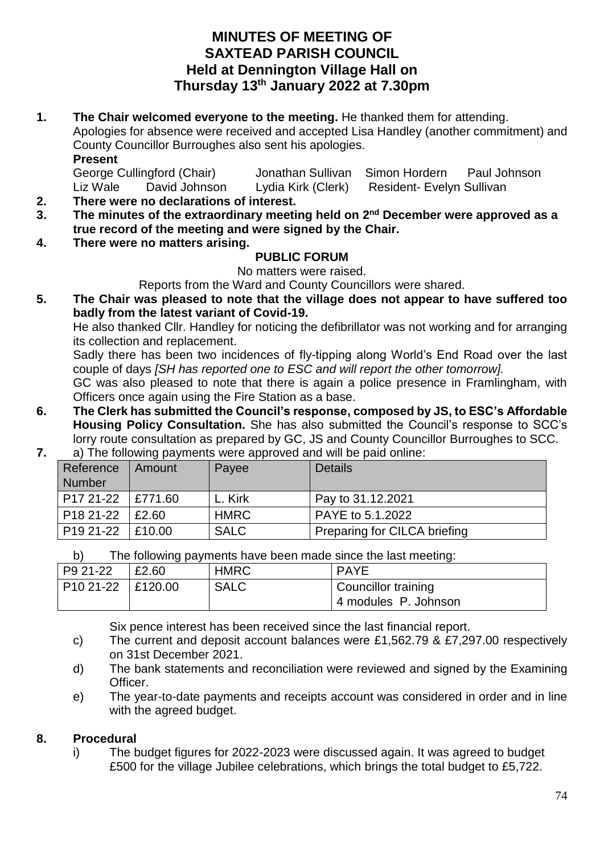## **MINUTES OF MEETING OF SAXTEAD PARISH COUNCIL Held at Dennington Village Hall on Thursday 13th January 2022 at 7.30pm**

**1. The Chair welcomed everyone to the meeting.** He thanked them for attending. Apologies for absence were received and accepted Lisa Handley (another commitment) and County Councillor Burroughes also sent his apologies. **Present**

| George Cullingford (Chair) |               | Jonathan Sullivan Simon Hordern |                                  | Paul Johnson |
|----------------------------|---------------|---------------------------------|----------------------------------|--------------|
| Liz Wale                   | David Johnson | Lydia Kirk (Clerk)              | <b>Resident- Evelyn Sullivan</b> |              |

- **2. There were no declarations of interest.**
- **3. The minutes of the extraordinary meeting held on 2 nd December were approved as a true record of the meeting and were signed by the Chair.**
- **4. There were no matters arising.**

## **PUBLIC FORUM**

No matters were raised.

Reports from the Ward and County Councillors were shared.

**5. The Chair was pleased to note that the village does not appear to have suffered too badly from the latest variant of Covid-19.** 

He also thanked Cllr. Handley for noticing the defibrillator was not working and for arranging its collection and replacement.

Sadly there has been two incidences of fly-tipping along World's End Road over the last couple of days *[SH has reported one to ESC and will report the other tomorrow].* 

GC was also pleased to note that there is again a police presence in Framlingham, with Officers once again using the Fire Station as a base.

- **6. The Clerk has submitted the Council's response, composed by JS, to ESC's Affordable Housing Policy Consultation.** She has also submitted the Council's response to SCC's lorry route consultation as prepared by GC, JS and County Councillor Burroughes to SCC.
- **7.** a) The following payments were approved and will be paid online:

| Reference<br><b>Number</b> | . .<br>Amount | Payee       | <b>Details</b>               |
|----------------------------|---------------|-------------|------------------------------|
| P <sub>17</sub> 21-22      | E771.60       | L. Kirk     | Pay to 31.12.2021            |
| P <sub>18</sub> 21-22      | E2.60         | <b>HMRC</b> | PAYE to 5.1.2022             |
| P <sub>19</sub> 21-22      | E10.00        | <b>SALC</b> | Preparing for CILCA briefing |

b) The following payments have been made since the last meeting:

| P9 21-22            | £2.60 | <b>HMRC</b> | <b>PAYE</b>          |
|---------------------|-------|-------------|----------------------|
| P10 21-22   £120.00 |       | <b>SALC</b> | Councillor training  |
|                     |       |             | 4 modules P. Johnson |

Six pence interest has been received since the last financial report.

- c) The current and deposit account balances were £1,562.79 & £7,297.00 respectively on 31st December 2021.
- d) The bank statements and reconciliation were reviewed and signed by the Examining Officer.
- e) The year-to-date payments and receipts account was considered in order and in line with the agreed budget.

## **8. Procedural**

i) The budget figures for 2022-2023 were discussed again. It was agreed to budget £500 for the village Jubilee celebrations, which brings the total budget to £5,722.